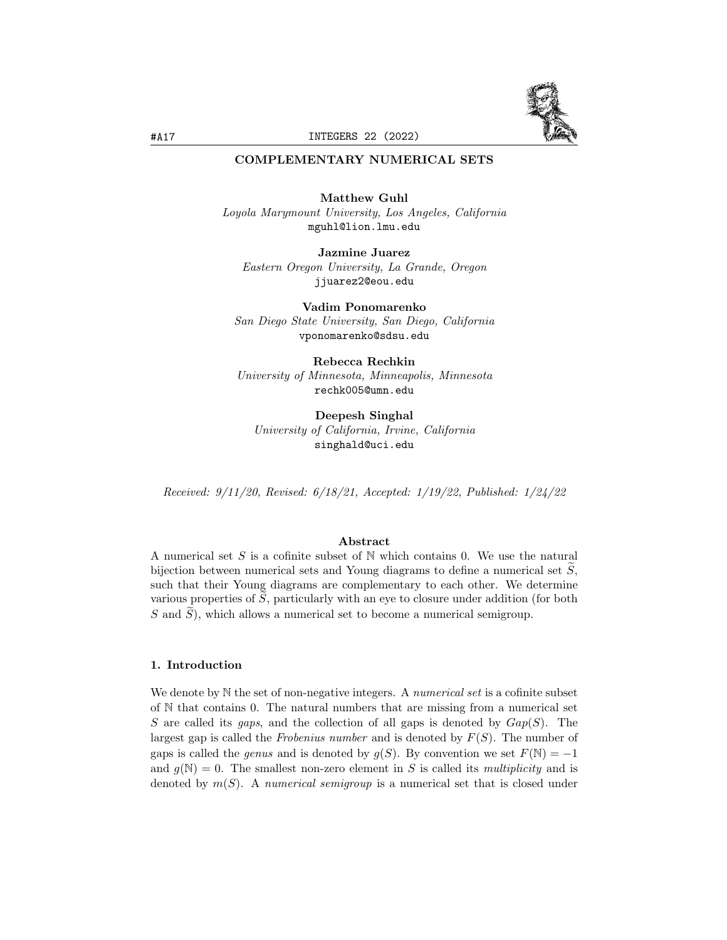

## COMPLEMENTARY NUMERICAL SETS

Matthew Guhl Loyola Marymount University, Los Angeles, California mguhl@lion.lmu.edu

Jazmine Juarez Eastern Oregon University, La Grande, Oregon jjuarez2@eou.edu

Vadim Ponomarenko San Diego State University, San Diego, California vponomarenko@sdsu.edu

Rebecca Rechkin University of Minnesota, Minneapolis, Minnesota rechk005@umn.edu

Deepesh Singhal University of California, Irvine, California singhald@uci.edu

Received: 9/11/20, Revised: 6/18/21, Accepted: 1/19/22, Published: 1/24/22

#### Abstract

A numerical set S is a cofinite subset of  $N$  which contains 0. We use the natural bijection between numerical sets and Young diagrams to define a numerical set  $S$ . such that their Young diagrams are complementary to each other. We determine various properties of  $S$ , particularly with an eye to closure under addition (for both S and  $\widetilde{S}$ ), which allows a numerical set to become a numerical semigroup.

## 1. Introduction

We denote by  $N$  the set of non-negative integers. A *numerical set* is a cofinite subset of N that contains 0. The natural numbers that are missing from a numerical set S are called its gaps, and the collection of all gaps is denoted by  $Gap(S)$ . The largest gap is called the Frobenius number and is denoted by  $F(S)$ . The number of gaps is called the *genus* and is denoted by  $g(S)$ . By convention we set  $F(\mathbb{N}) = -1$ and  $g(N) = 0$ . The smallest non-zero element in S is called its multiplicity and is denoted by  $m(S)$ . A numerical semigroup is a numerical set that is closed under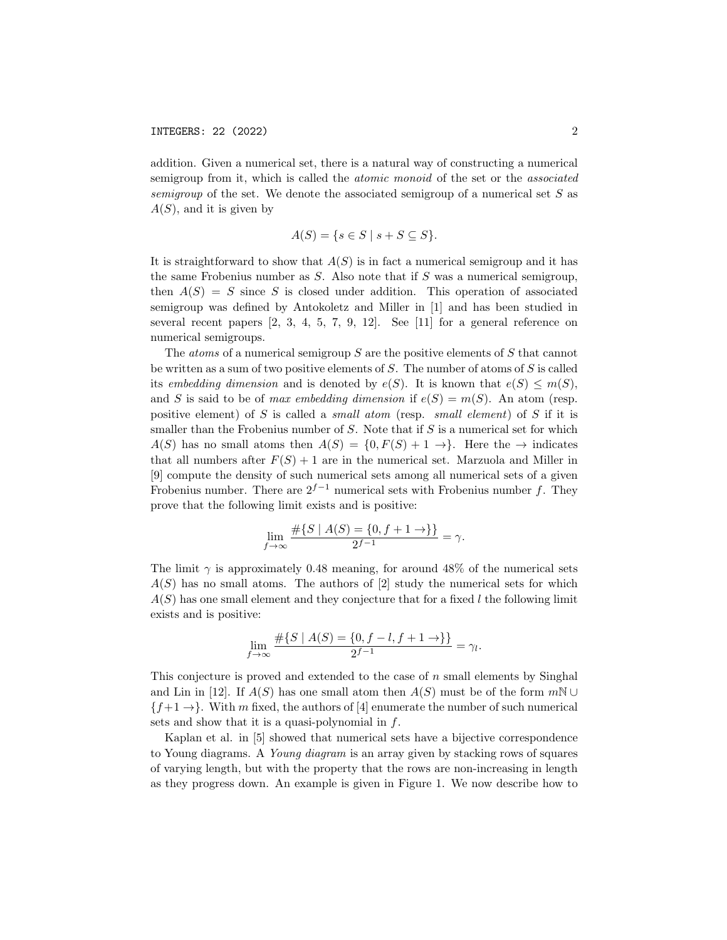addition. Given a numerical set, there is a natural way of constructing a numerical semigroup from it, which is called the atomic monoid of the set or the associated semigroup of the set. We denote the associated semigroup of a numerical set  $S$  as  $A(S)$ , and it is given by

$$
A(S) = \{ s \in S \mid s + S \subseteq S \}.
$$

It is straightforward to show that  $A(S)$  is in fact a numerical semigroup and it has the same Frobenius number as S. Also note that if S was a numerical semigroup, then  $A(S) = S$  since S is closed under addition. This operation of associated semigroup was defined by Antokoletz and Miller in [1] and has been studied in several recent papers  $[2, 3, 4, 5, 7, 9, 12]$ . See  $[11]$  for a general reference on numerical semigroups.

The *atoms* of a numerical semigroup S are the positive elements of S that cannot be written as a sum of two positive elements of S. The number of atoms of S is called its embedding dimension and is denoted by  $e(S)$ . It is known that  $e(S) \leq m(S)$ , and S is said to be of *max embedding dimension* if  $e(S) = m(S)$ . An atom (resp. positive element) of S is called a *small atom* (resp. *small element*) of S if it is smaller than the Frobenius number of  $S$ . Note that if  $S$  is a numerical set for which  $A(S)$  has no small atoms then  $A(S) = \{0, F(S) + 1 \to \}$ . Here the  $\to$  indicates that all numbers after  $F(S) + 1$  are in the numerical set. Marzuola and Miller in [9] compute the density of such numerical sets among all numerical sets of a given Frobenius number. There are  $2^{f-1}$  numerical sets with Frobenius number f. They prove that the following limit exists and is positive:

$$
\lim_{f \to \infty} \frac{\#\{S \mid A(S) = \{0, f + 1 \to \}\}}{2^{f-1}} = \gamma.
$$

The limit  $\gamma$  is approximately 0.48 meaning, for around 48% of the numerical sets  $A(S)$  has no small atoms. The authors of [2] study the numerical sets for which  $A(S)$  has one small element and they conjecture that for a fixed l the following limit exists and is positive:

$$
\lim_{f \to \infty} \frac{\#\{S \mid A(S) = \{0, f - l, f + 1 \to \}\}}{2^{f-1}} = \gamma_l.
$$

This conjecture is proved and extended to the case of  $n$  small elements by Singhal and Lin in [12]. If  $A(S)$  has one small atom then  $A(S)$  must be of the form  $m\mathbb{N} \cup$  ${f+1}\rightarrow$ . With m fixed, the authors of [4] enumerate the number of such numerical sets and show that it is a quasi-polynomial in  $f$ .

Kaplan et al. in [5] showed that numerical sets have a bijective correspondence to Young diagrams. A Young diagram is an array given by stacking rows of squares of varying length, but with the property that the rows are non-increasing in length as they progress down. An example is given in Figure 1. We now describe how to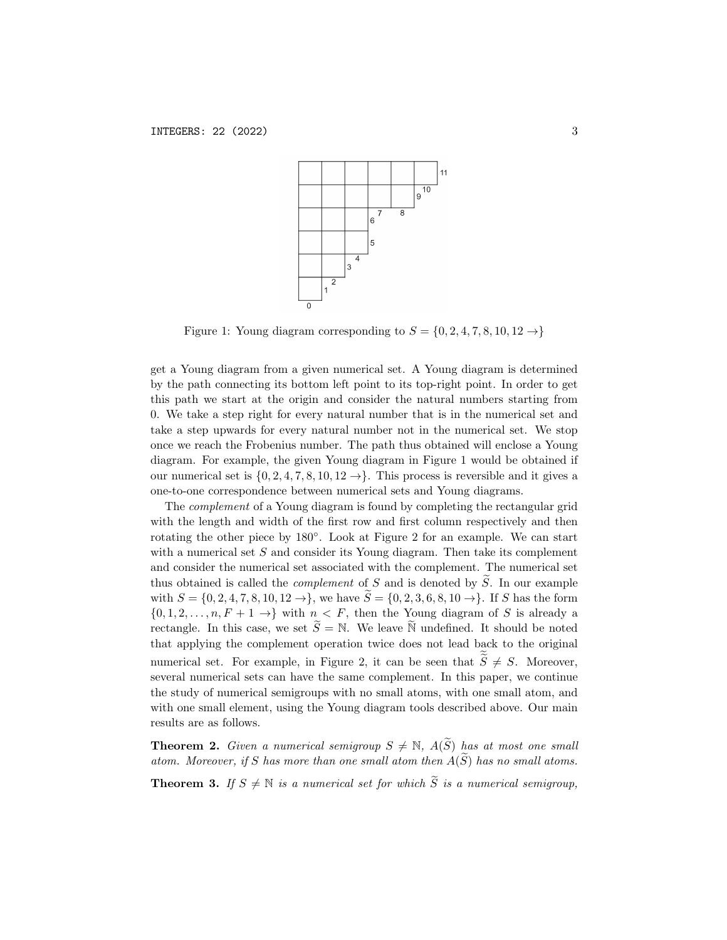

Figure 1: Young diagram corresponding to  $S = \{0, 2, 4, 7, 8, 10, 12 \rightarrow \}$ 

get a Young diagram from a given numerical set. A Young diagram is determined by the path connecting its bottom left point to its top-right point. In order to get this path we start at the origin and consider the natural numbers starting from 0. We take a step right for every natural number that is in the numerical set and take a step upwards for every natural number not in the numerical set. We stop once we reach the Frobenius number. The path thus obtained will enclose a Young diagram. For example, the given Young diagram in Figure 1 would be obtained if our numerical set is  $\{0, 2, 4, 7, 8, 10, 12 \rightarrow\}$ . This process is reversible and it gives a one-to-one correspondence between numerical sets and Young diagrams.

The complement of a Young diagram is found by completing the rectangular grid with the length and width of the first row and first column respectively and then rotating the other piece by 180◦ . Look at Figure 2 for an example. We can start with a numerical set  $S$  and consider its Young diagram. Then take its complement and consider the numerical set associated with the complement. The numerical set thus obtained is called the *complement* of S and is denoted by  $\widetilde{S}$ . In our example with  $S = \{0, 2, 4, 7, 8, 10, 12 \rightarrow \}$ , we have  $\widetilde{S} = \{0, 2, 3, 6, 8, 10 \rightarrow \}$ . If S has the form  $\{0, 1, 2, \ldots, n, F + 1 \rightarrow \}$  with  $n < F$ , then the Young diagram of S is already a rectangle. In this case, we set  $\widetilde{S} = \mathbb{N}$ . We leave  $\widetilde{\mathbb{N}}$  undefined. It should be noted that applying the complement operation twice does not lead back to the original numerical set. For example, in Figure 2, it can be seen that  $S \neq S$ . Moreover, several numerical sets can have the same complement. In this paper, we continue the study of numerical semigroups with no small atoms, with one small atom, and with one small element, using the Young diagram tools described above. Our main results are as follows.

**Theorem 2.** Given a numerical semigroup  $S \neq \mathbb{N}$ ,  $A(\widetilde{S})$  has at most one small atom. Moreover, if S has more than one small atom then  $A(\widetilde{S})$  has no small atoms.

**Theorem 3.** If  $S \neq \mathbb{N}$  is a numerical set for which  $\widetilde{S}$  is a numerical semigroup,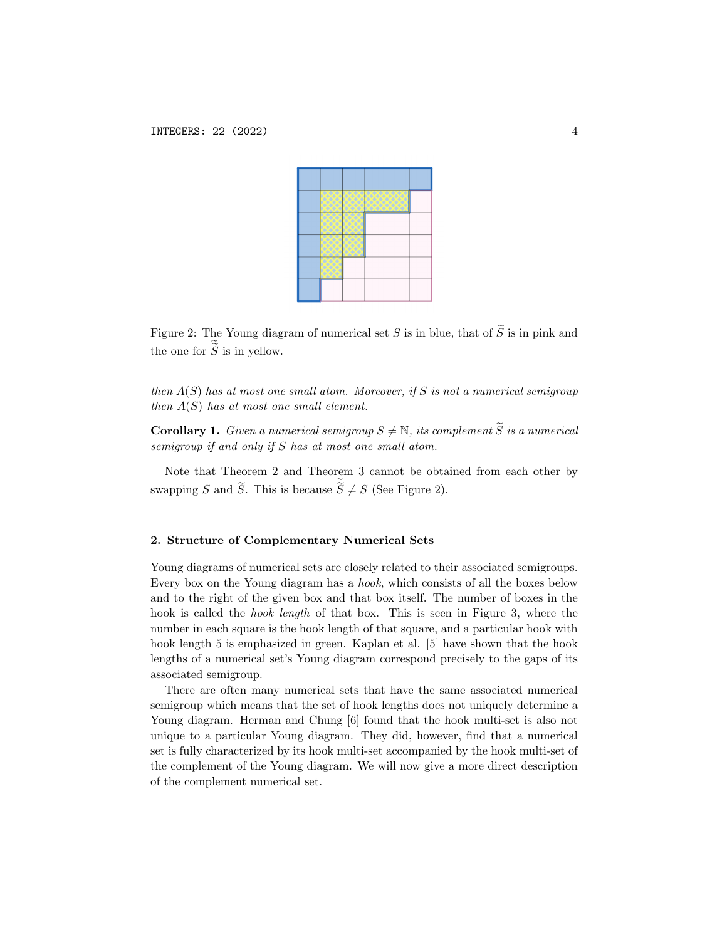

Figure 2: The Young diagram of numerical set S is in blue, that of  $\widetilde{S}$  is in pink and the one for  $S$  is in yellow.

then  $A(S)$  has at most one small atom. Moreover, if S is not a numerical semigroup then  $A(S)$  has at most one small element.

**Corollary 1.** Given a numerical semigroup  $S \neq \mathbb{N}$ , its complement  $\widetilde{S}$  is a numerical semigroup if and only if S has at most one small atom.

Note that Theorem 2 and Theorem 3 cannot be obtained from each other by swapping S and S. This is because  $S \neq S$  (See Figure 2).

## 2. Structure of Complementary Numerical Sets

Young diagrams of numerical sets are closely related to their associated semigroups. Every box on the Young diagram has a hook, which consists of all the boxes below and to the right of the given box and that box itself. The number of boxes in the hook is called the *hook length* of that box. This is seen in Figure 3, where the number in each square is the hook length of that square, and a particular hook with hook length 5 is emphasized in green. Kaplan et al. [5] have shown that the hook lengths of a numerical set's Young diagram correspond precisely to the gaps of its associated semigroup.

There are often many numerical sets that have the same associated numerical semigroup which means that the set of hook lengths does not uniquely determine a Young diagram. Herman and Chung [6] found that the hook multi-set is also not unique to a particular Young diagram. They did, however, find that a numerical set is fully characterized by its hook multi-set accompanied by the hook multi-set of the complement of the Young diagram. We will now give a more direct description of the complement numerical set.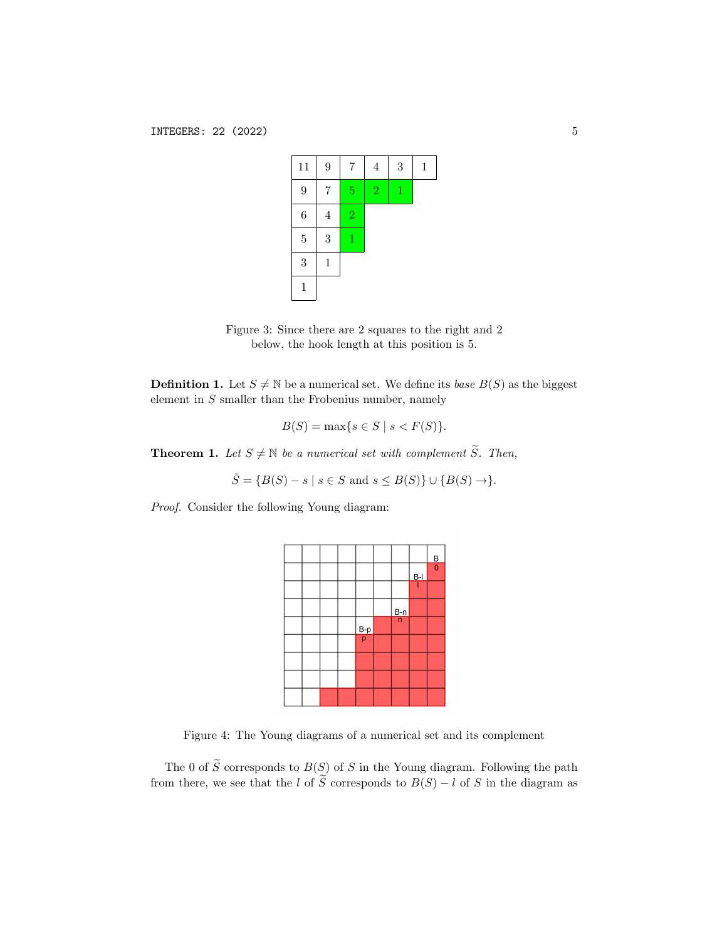| 11               | 9              | $\bf 7$        | $\overline{4}$ | $\boldsymbol{3}$ | 1 |
|------------------|----------------|----------------|----------------|------------------|---|
| 9                | 7              | $\overline{5}$ | $\overline{2}$ | 1                |   |
| $\boldsymbol{6}$ | $\overline{4}$ | $\overline{2}$ |                |                  |   |
| $\overline{5}$   | 3              | 1              |                |                  |   |
| 3                | $\mathbf 1$    |                |                |                  |   |
| $\mathbf{1}$     |                |                |                |                  |   |

Figure 3: Since there are 2 squares to the right and 2 below, the hook length at this position is 5.

**Definition 1.** Let  $S \neq \mathbb{N}$  be a numerical set. We define its *base*  $B(S)$  as the biggest element in  $S$  smaller than the Frobenius number, namely

$$
B(S) = \max\{s \in S \mid s < F(S)\}.
$$

**Theorem 1.** Let  $S \neq \mathbb{N}$  be a numerical set with complement  $\widetilde{S}$ . Then,

$$
\tilde{S} = \{B(S) - s \mid s \in S \text{ and } s \leq B(S)\} \cup \{B(S) \to \}.
$$

Proof. Consider the following Young diagram:

|  |  |               |               |       | $\frac{B}{0}$ |
|--|--|---------------|---------------|-------|---------------|
|  |  |               |               | $B-I$ |               |
|  |  |               |               |       |               |
|  |  |               | $rac{B-n}{n}$ |       |               |
|  |  | $rac{B-p}{p}$ |               |       |               |
|  |  |               |               |       |               |
|  |  |               |               |       |               |
|  |  |               |               |       |               |
|  |  |               |               |       |               |

Figure 4: The Young diagrams of a numerical set and its complement

The 0 of  $\widetilde{S}$  corresponds to  $B(S)$  of S in the Young diagram. Following the path from there, we see that the l of  $\widetilde{S}$  corresponds to  $B(S) - l$  of S in the diagram as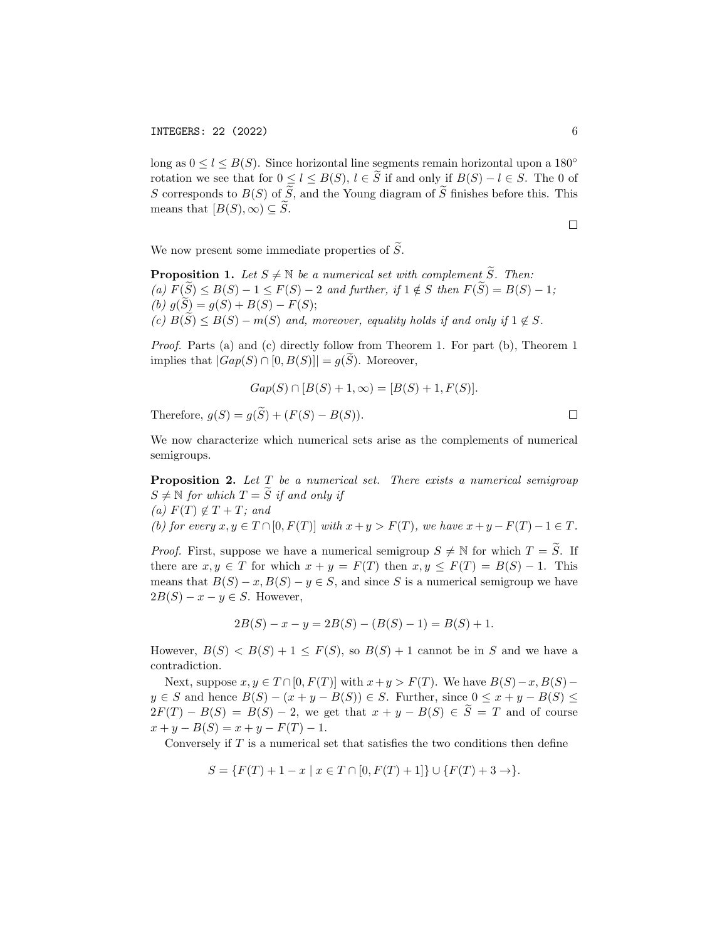long as  $0 \leq l \leq B(S)$ . Since horizontal line segments remain horizontal upon a 180<sup>°</sup> rotation we see that for  $0 \leq l \leq B(S), l \in \overline{S}$  if and only if  $B(S) - l \in S$ . The 0 of S corresponds to  $B(S)$  of  $\widetilde{S}$ , and the Young diagram of  $\widetilde{S}$  finishes before this. This means that  $[B(S), \infty) \subseteq \widetilde{S}$ .

 $\Box$ 

 $\Box$ 

We now present some immediate properties of  $\widetilde{S}$ .

**Proposition 1.** Let  $S \neq \mathbb{N}$  be a numerical set with complement  $\widetilde{S}$ . Then: (a)  $F(\widetilde{S}) \leq B(S) - 1 \leq F(S) - 2$  and further, if  $1 \notin S$  then  $F(\widetilde{S}) = B(S) - 1$ ; (b)  $g(S) = g(S) + B(S) - F(S);$ (c)  $B(\widetilde{S}) \leq B(S) - m(S)$  and, moreover, equality holds if and only if  $1 \notin S$ .

Proof. Parts (a) and (c) directly follow from Theorem 1. For part (b), Theorem 1 implies that  $|Gap(S) \cap [0, B(S)]| = g(S)$ . Moreover,

$$
Gap(S) \cap [B(S) + 1, \infty) = [B(S) + 1, F(S)].
$$

Therefore,  $q(S) = q(\widetilde{S}) + (F(S) - B(S)).$ 

We now characterize which numerical sets arise as the complements of numerical semigroups.

**Proposition 2.** Let  $T$  be a numerical set. There exists a numerical semigroup  $S \neq \mathbb{N}$  for which  $T = \widetilde{S}$  if and only if (a)  $F(T) \notin T + T$ ; and (b) for every  $x, y \in T \cap [0, F(T)]$  with  $x + y > F(T)$ , we have  $x + y - F(T) - 1 \in T$ .

*Proof.* First, suppose we have a numerical semigroup  $S \neq \mathbb{N}$  for which  $T = \widetilde{S}$ . If there are  $x, y \in T$  for which  $x + y = F(T)$  then  $x, y \leq F(T) = B(S) - 1$ . This means that  $B(S) - x$ ,  $B(S) - y \in S$ , and since S is a numerical semigroup we have  $2B(S) - x - y \in S$ . However,

$$
2B(S) - x - y = 2B(S) - (B(S) - 1) = B(S) + 1.
$$

However,  $B(S) < B(S) + 1 \leq F(S)$ , so  $B(S) + 1$  cannot be in S and we have a contradiction.

Next, suppose  $x, y \in T \cap [0, F(T)]$  with  $x+y > F(T)$ . We have  $B(S)-x, B(S)$  $y \in S$  and hence  $B(S) - (x + y - B(S)) \in S$ . Further, since  $0 \le x + y - B(S) \le$  $2F(T) - B(S) = B(S) - 2$ , we get that  $x + y - B(S) \in \widetilde{S} = T$  and of course  $x + y - B(S) = x + y - F(T) - 1.$ 

Conversely if  $T$  is a numerical set that satisfies the two conditions then define

 $S = \{F(T) + 1 - x \mid x \in T \cap [0, F(T) + 1] \} \cup \{F(T) + 3 \to \}.$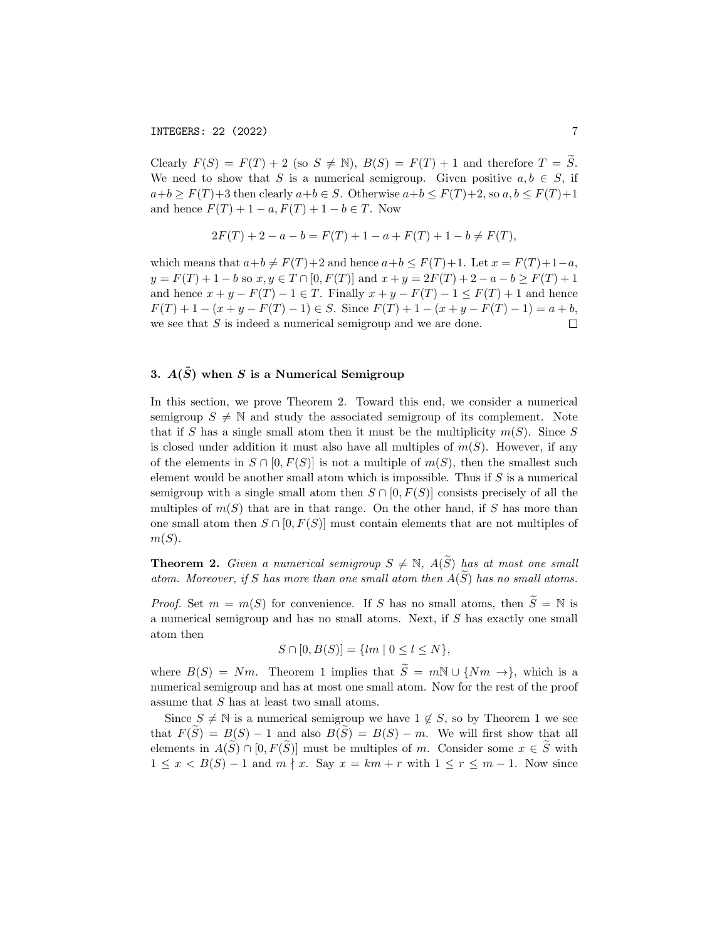Clearly  $F(S) = F(T) + 2$  (so  $S \neq \mathbb{N}$ ),  $B(S) = F(T) + 1$  and therefore  $T = \widetilde{S}$ . We need to show that S is a numerical semigroup. Given positive  $a, b \in S$ , if  $a+b \geq F(T)+3$  then clearly  $a+b \in S$ . Otherwise  $a+b \leq F(T)+2$ , so  $a, b \leq F(T)+1$ and hence  $F(T) + 1 - a$ ,  $F(T) + 1 - b \in T$ . Now

$$
2F(T) + 2 - a - b = F(T) + 1 - a + F(T) + 1 - b \neq F(T),
$$

which means that  $a+b \neq F(T)+2$  and hence  $a+b \leq F(T)+1$ . Let  $x = F(T)+1-a$ ,  $y = F(T) + 1 - b$  so  $x, y \in T \cap [0, F(T)]$  and  $x + y = 2F(T) + 2 - a - b \ge F(T) + 1$ and hence  $x + y - F(T) - 1 \in T$ . Finally  $x + y - F(T) - 1 \leq F(T) + 1$  and hence  $F(T) + 1 - (x + y - F(T) - 1) \in S$ . Since  $F(T) + 1 - (x + y - F(T) - 1) = a + b$ , we see that S is indeed a numerical semigroup and we are done.  $\Box$ 

# 3.  $A(\tilde{S})$  when S is a Numerical Semigroup

In this section, we prove Theorem 2. Toward this end, we consider a numerical semigroup  $S \neq \mathbb{N}$  and study the associated semigroup of its complement. Note that if S has a single small atom then it must be the multiplicity  $m(S)$ . Since S is closed under addition it must also have all multiples of  $m(S)$ . However, if any of the elements in  $S \cap [0, F(S)]$  is not a multiple of  $m(S)$ , then the smallest such element would be another small atom which is impossible. Thus if  $S$  is a numerical semigroup with a single small atom then  $S \cap [0, F(S)]$  consists precisely of all the multiples of  $m(S)$  that are in that range. On the other hand, if S has more than one small atom then  $S \cap [0, F(S)]$  must contain elements that are not multiples of  $m(S)$ .

**Theorem 2.** Given a numerical semigroup  $S \neq \mathbb{N}$ ,  $A(\widetilde{S})$  has at most one small atom. Moreover, if S has more than one small atom then  $A(\widetilde{S})$  has no small atoms.

*Proof.* Set  $m = m(S)$  for convenience. If S has no small atoms, then  $\widetilde{S} = N$  is a numerical semigroup and has no small atoms. Next, if S has exactly one small atom then

$$
S \cap [0, B(S)] = \{ lm \mid 0 \le l \le N \},
$$

where  $B(S) = Nm$ . Theorem 1 implies that  $\widetilde{S} = mN \cup \{Nm \rightarrow\}$ , which is a numerical semigroup and has at most one small atom. Now for the rest of the proof assume that S has at least two small atoms.

Since  $S \neq \mathbb{N}$  is a numerical semigroup we have  $1 \notin S$ , so by Theorem 1 we see that  $F(\widetilde{S}) = B(S) - 1$  and also  $B(\widetilde{S}) = B(S) - m$ . We will first show that all elements in  $A(\widetilde{S}) \cap [0, F(\widetilde{S})]$  must be multiples of m. Consider some  $x \in \widetilde{S}$  with  $1 \leq x < B(S) - 1$  and  $m \nmid x$ . Say  $x = km + r$  with  $1 \leq r \leq m - 1$ . Now since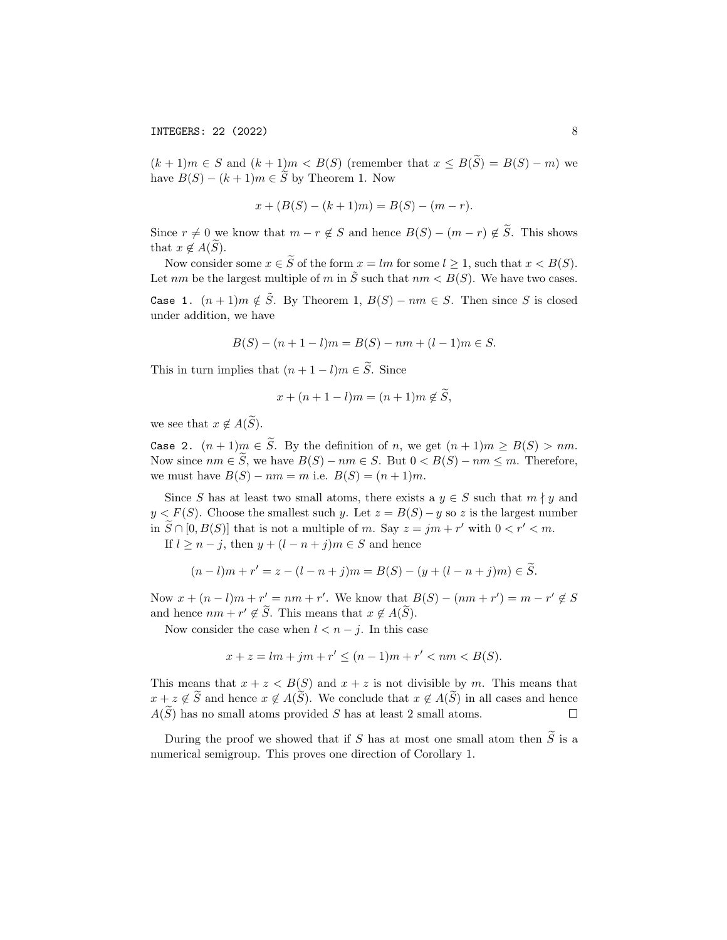$(k+1)m \in S$  and  $(k+1)m < B(S)$  (remember that  $x \leq B(\tilde{S}) = B(S) - m$ ) we have  $B(S) - (k+1)m \in \widetilde{S}$  by Theorem 1. Now

$$
x + (B(S) - (k+1)m) = B(S) - (m - r).
$$

Since  $r \neq 0$  we know that  $m - r \notin S$  and hence  $B(S) - (m - r) \notin \widetilde{S}$ . This shows that  $x \notin A(S)$ .

Now consider some  $x \in \tilde{S}$  of the form  $x = lm$  for some  $l \geq 1$ , such that  $x < B(S)$ . Let nm be the largest multiple of m in  $\tilde{S}$  such that  $nm < B(S)$ . We have two cases.

Case 1.  $(n+1)m \notin \tilde{S}$ . By Theorem 1,  $B(S) - nm \in S$ . Then since S is closed under addition, we have

$$
B(S) - (n + 1 - l)m = B(S) - nm + (l - 1)m \in S.
$$

This in turn implies that  $(n + 1 - l)m \in \widetilde{S}$ . Since

$$
x + (n+1-l)m = (n+1)m \notin S,
$$

we see that  $x \notin A(\widetilde{S})$ .

Case 2.  $(n+1)m \in \tilde{S}$ . By the definition of n, we get  $(n+1)m \geq B(S) > nm$ . Now since  $nm \in \widetilde{S}$ , we have  $B(S) - nm \in S$ . But  $0 < B(S) - nm \le m$ . Therefore, we must have  $B(S) - nm = m$  i.e.  $B(S) = (n + 1)m$ .

Since S has at least two small atoms, there exists a  $y \in S$  such that  $m \nmid y$  and  $y < F(S)$ . Choose the smallest such y. Let  $z = B(S) - y$  so z is the largest number in  $\widetilde{S} \cap [0, B(S)]$  that is not a multiple of m. Say  $z = jm + r'$  with  $0 < r' < m$ .

If  $l \geq n - j$ , then  $y + (l - n + j)m \in S$  and hence

$$
(n-l)m + r' = z - (l - n + j)m = B(S) - (y + (l - n + j)m) \in \widetilde{S}.
$$

Now  $x + (n - l)m + r' = nm + r'$ . We know that  $B(S) - (nm + r') = m - r' \notin S$ and hence  $nm + r' \notin \tilde{S}$ . This means that  $x \notin A(\tilde{S})$ .

Now consider the case when  $l < n - j$ . In this case

$$
x + z = lm + jm + r' \le (n - 1)m + r' < nm < B(S).
$$

This means that  $x + z < B(S)$  and  $x + z$  is not divisible by m. This means that  $x + z \notin \widetilde{S}$  and hence  $x \notin A(\widetilde{S})$ . We conclude that  $x \notin A(\widetilde{S})$  in all cases and hence  $A(\widetilde{S})$  has no small atoms provided S has at least 2 small atoms.  $A(\widetilde{S})$  has no small atoms provided S has at least 2 small atoms.

During the proof we showed that if S has at most one small atom then  $\widetilde{S}$  is a numerical semigroup. This proves one direction of Corollary 1.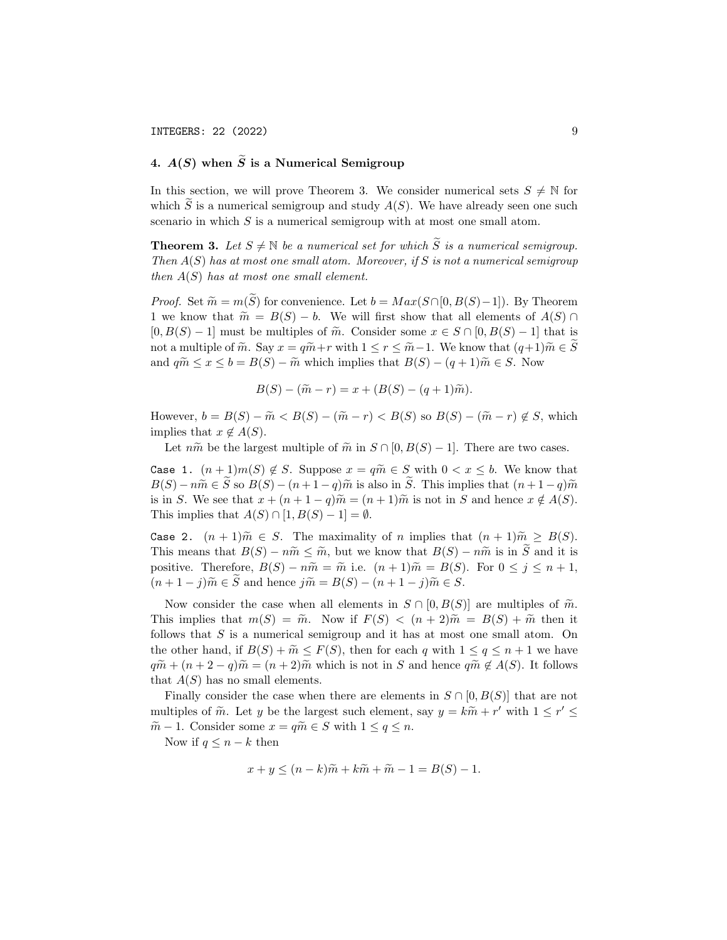# 4.  $A(S)$  when  $\widetilde{S}$  is a Numerical Semigroup

In this section, we will prove Theorem 3. We consider numerical sets  $S \neq \mathbb{N}$  for which S is a numerical semigroup and study  $A(S)$ . We have already seen one such scenario in which  $S$  is a numerical semigroup with at most one small atom.

**Theorem 3.** Let  $S \neq \mathbb{N}$  be a numerical set for which  $\widetilde{S}$  is a numerical semigroup. Then  $A(S)$  has at most one small atom. Moreover, if S is not a numerical semigroup then  $A(S)$  has at most one small element.

*Proof.* Set  $\widetilde{m} = m(\widetilde{S})$  for convenience. Let  $b = Max(S \cap [0, B(S)-1])$ . By Theorem 1 we know that  $\widetilde{m} = B(S) - b$ . We will first show that all elements of  $A(S) \cap$  $[0, B(S) - 1]$  must be multiples of  $\tilde{m}$ . Consider some  $x \in S \cap [0, B(S) - 1]$  that is not a multiple of  $\widetilde{m}$ . Say  $x = q\widetilde{m} + r$  with  $1 \leq r \leq \widetilde{m} - 1$ . We know that  $(q+1)\widetilde{m} \in S$ and  $q\widetilde{m} \leq x \leq b = B(S) - \widetilde{m}$  which implies that  $B(S) - (q+1)\widetilde{m} \in S$ . Now

$$
B(S) - (\tilde{m} - r) = x + (B(S) - (q + 1)\tilde{m}).
$$

However,  $b = B(S) - \widetilde{m} < B(S) - (\widetilde{m} - r) < B(S)$  so  $B(S) - (\widetilde{m} - r) \notin S$ , which implies that  $x \notin A(S)$ .

Let  $n\tilde{m}$  be the largest multiple of  $\tilde{m}$  in  $S \cap [0, B(S) - 1]$ . There are two cases.

Case 1.  $(n+1)m(S) \notin S$ . Suppose  $x = q\widetilde{m} \in S$  with  $0 < x \leq b$ . We know that  $B(S) - n\widetilde{m} \in \widetilde{S}$  so  $B(S) - (n+1-q)\widetilde{m}$  is also in  $\widetilde{S}$ . This implies that  $(n+1-q)\widetilde{m}$ is in S. We see that  $x + (n + 1 - q)\tilde{m} = (n + 1)\tilde{m}$  is not in S and hence  $x \notin A(S)$ . This implies that  $A(S) \cap [1, B(S) - 1] = \emptyset$ .

Case 2.  $(n+1)\widetilde{m} \in S$ . The maximality of n implies that  $(n+1)\widetilde{m} \geq B(S)$ . This means that  $B(S) - n\tilde{m} \leq \tilde{m}$ , but we know that  $B(S) - n\tilde{m}$  is in S and it is positive. Therefore,  $B(S) - n\tilde{m} = \tilde{m}$  i.e.  $(n+1)\tilde{m} = B(S)$ . For  $0 \le j \le n+1$ ,  $(n+1-j)\widetilde{m} \in \widetilde{S}$  and hence  $j\widetilde{m} = B(S) - (n+1-j)\widetilde{m} \in S$ .

Now consider the case when all elements in  $S \cap [0, B(S)]$  are multiples of  $\tilde{m}$ . This implies that  $m(S) = \tilde{m}$ . Now if  $F(S) < (n+2)\tilde{m} = B(S) + \tilde{m}$  then it follows that S is a numerical semigroup and it has at most one small atom. On the other hand, if  $B(S) + \widetilde{m} \leq F(S)$ , then for each q with  $1 \leq q \leq n+1$  we have  $q\widetilde{m} + (n+2-q)\widetilde{m} = (n+2)\widetilde{m}$  which is not in S and hence  $q\widetilde{m} \notin A(S)$ . It follows that  $A(S)$  has no small elements.

Finally consider the case when there are elements in  $S \cap [0, B(S)]$  that are not multiples of  $\widetilde{m}$ . Let y be the largest such element, say  $y = k\widetilde{m} + r'$  with  $1 \leq r' \leq$  $\widetilde{m} - 1$ . Consider some  $x = q\widetilde{m} \in S$  with  $1 \le q \le n$ .

Now if  $q \leq n - k$  then

$$
x + y \le (n - k)\widetilde{m} + k\widetilde{m} + \widetilde{m} - 1 = B(S) - 1.
$$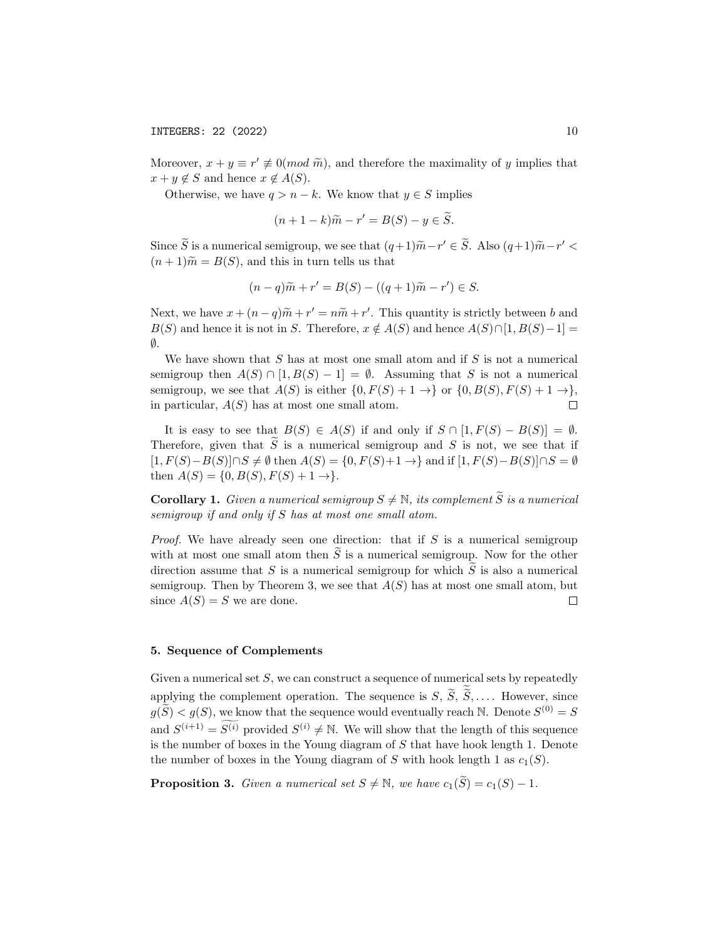Moreover,  $x + y \equiv r' \neq 0 (mod \tilde{m})$ , and therefore the maximality of y implies that  $x + y \notin S$  and hence  $x \notin A(S)$ .

Otherwise, we have  $q > n - k$ . We know that  $y \in S$  implies

$$
(n+1-k)\widetilde{m} - r' = B(S) - y \in \widetilde{S}.
$$

Since  $\widetilde{S}$  is a numerical semigroup, we see that  $(q+1)\widetilde{m} - r' \in \widetilde{S}$ . Also  $(q+1)\widetilde{m} - r' <$  $(n+1)\tilde{m} = B(S)$ , and this in turn tells us that

$$
(n-q)\widetilde{m} + r' = B(S) - ((q+1)\widetilde{m} - r') \in S.
$$

Next, we have  $x + (n-q)\widetilde{m} + r' = n\widetilde{m} + r'$ . This quantity is strictly between b and  $P(S)$  and have it is not in  $S$ . Therefore,  $x \notin A(S)$  and have  $A(S) \cap [1, P(S) - 1] B(S)$  and hence it is not in S. Therefore,  $x \notin A(S)$  and hence  $A(S) \cap [1, B(S)-1] =$  $\emptyset$ .

We have shown that  $S$  has at most one small atom and if  $S$  is not a numerical semigroup then  $A(S) \cap [1, B(S) - 1] = \emptyset$ . Assuming that S is not a numerical semigroup, we see that  $A(S)$  is either  $\{0, F(S) + 1 \rightarrow\}$  or  $\{0, B(S), F(S) + 1 \rightarrow\}$ , in particular,  $A(S)$  has at most one small atom.  $\Box$ 

It is easy to see that  $B(S) \in A(S)$  if and only if  $S \cap [1, F(S) - B(S)] = \emptyset$ . Therefore, given that  $\tilde{S}$  is a numerical semigroup and S is not, we see that if  $[1, F(S) - B(S)] \cap S \neq \emptyset$  then  $A(S) = \{0, F(S) + 1 \rightarrow \}$  and if  $[1, F(S) - B(S)] \cap S = \emptyset$ then  $A(S) = \{0, B(S), F(S) + 1 \rightarrow \}.$ 

**Corollary 1.** Given a numerical semigroup  $S \neq \mathbb{N}$ , its complement  $\widetilde{S}$  is a numerical semigroup if and only if S has at most one small atom.

*Proof.* We have already seen one direction: that if  $S$  is a numerical semigroup with at most one small atom then  $\tilde{S}$  is a numerical semigroup. Now for the other direction assume that  $S$  is a numerical semigroup for which  $S$  is also a numerical semigroup. Then by Theorem 3, we see that  $A(S)$  has at most one small atom, but since  $A(S) = S$  we are done.  $\Box$ 

#### 5. Sequence of Complements

Given a numerical set  $S$ , we can construct a sequence of numerical sets by repeatedly applying the complement operation. The sequence is  $S, S, S, \ldots$ . However, since  $g(\widetilde{S}) < g(S)$ , we know that the sequence would eventually reach N. Denote  $S^{(0)} = S$ and  $S^{(i+1)} = S^{(i)}$  provided  $S^{(i)} \neq \mathbb{N}$ . We will show that the length of this sequence is the number of boxes in the Young diagram of S that have hook length 1. Denote the number of boxes in the Young diagram of S with hook length 1 as  $c_1(S)$ .

**Proposition 3.** Given a numerical set  $S \neq \mathbb{N}$ , we have  $c_1(\widetilde{S}) = c_1(S) - 1$ .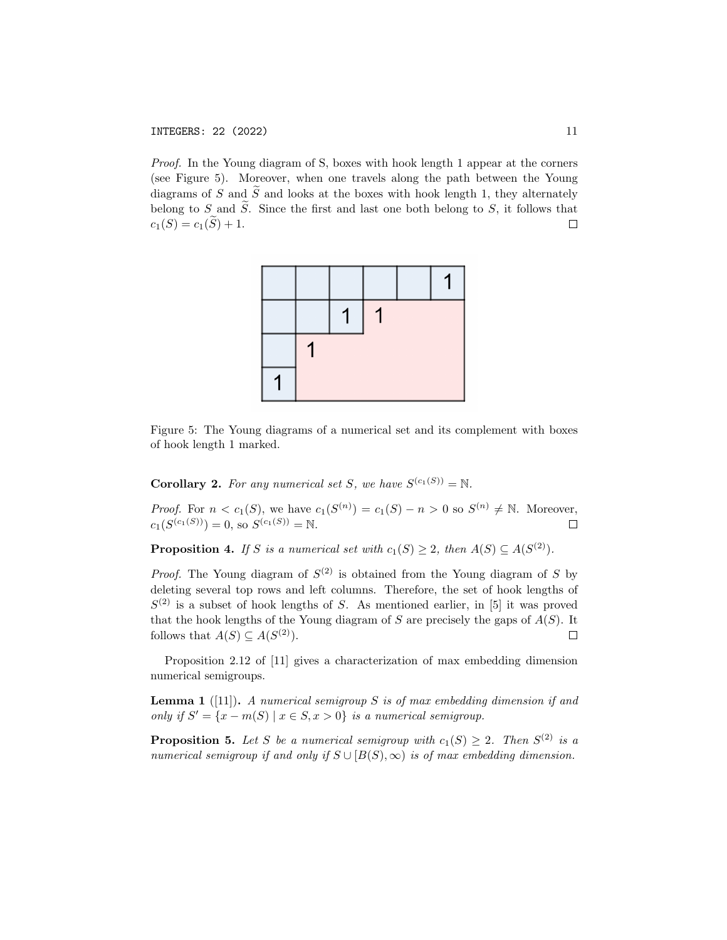Proof. In the Young diagram of S, boxes with hook length 1 appear at the corners (see Figure 5). Moreover, when one travels along the path between the Young diagrams of S and  $\tilde{S}$  and looks at the boxes with hook length 1, they alternately belong to S and  $\tilde{S}$ . Since the first and last one both belong to S, it follows that  $c_1(S) = c_1(\tilde{S}) + 1$ .  $c_1(S) = c_1(S) + 1.$ 



Figure 5: The Young diagrams of a numerical set and its complement with boxes of hook length 1 marked.

**Corollary 2.** For any numerical set S, we have  $S^{(c_1(S))} = N$ .

*Proof.* For  $n < c_1(S)$ , we have  $c_1(S^{(n)}) = c_1(S) - n > 0$  so  $S^{(n)} \neq \mathbb{N}$ . Moreover,  $c_1(S^{(c_1(S))}) = 0$ , so  $S^{(c_1(S))} = \mathbb{N}$ .  $\Box$ 

**Proposition 4.** If S is a numerical set with  $c_1(S) \geq 2$ , then  $A(S) \subseteq A(S^{(2)})$ .

*Proof.* The Young diagram of  $S^{(2)}$  is obtained from the Young diagram of S by deleting several top rows and left columns. Therefore, the set of hook lengths of  $S^{(2)}$  is a subset of hook lengths of S. As mentioned earlier, in [5] it was proved that the hook lengths of the Young diagram of  $S$  are precisely the gaps of  $A(S)$ . It follows that  $A(S) \subseteq A(S^{(2)})$ .  $\Box$ 

Proposition 2.12 of [11] gives a characterization of max embedding dimension numerical semigroups.

**Lemma 1** ([11]). A numerical semigroup S is of max embedding dimension if and only if  $S' = \{x - m(S) | x \in S, x > 0\}$  is a numerical semigroup.

**Proposition 5.** Let S be a numerical semigroup with  $c_1(S) \geq 2$ . Then  $S^{(2)}$  is a numerical semigroup if and only if  $S \cup [B(S), \infty)$  is of max embedding dimension.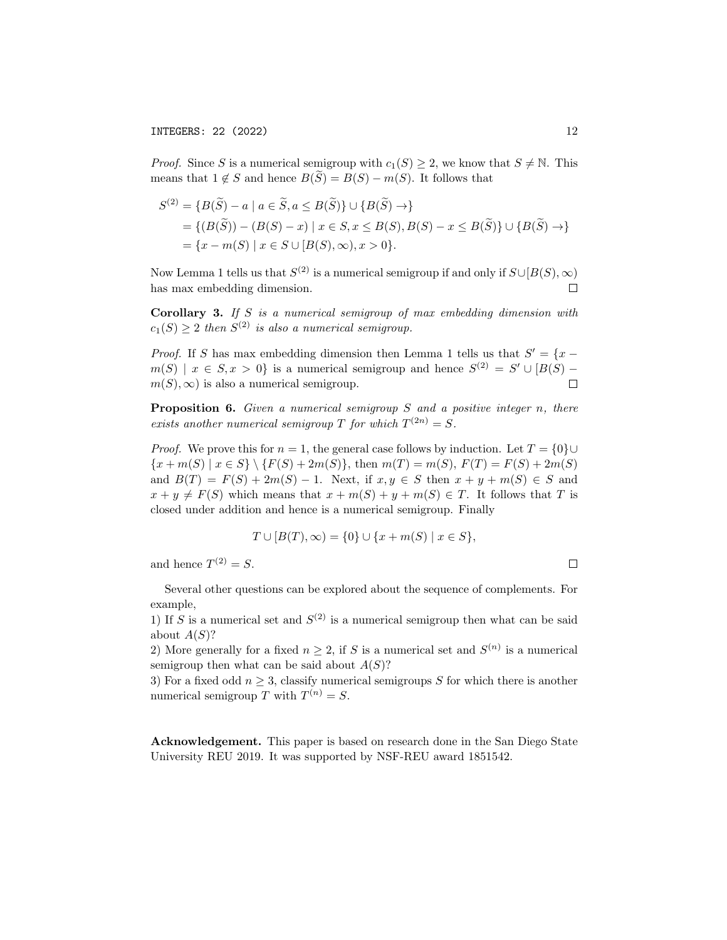*Proof.* Since S is a numerical semigroup with  $c_1(S) \geq 2$ , we know that  $S \neq \mathbb{N}$ . This means that  $1 \notin S$  and hence  $B(S) = B(S) - m(S)$ . It follows that

$$
S^{(2)} = \{B(\widetilde{S}) - a \mid a \in \widetilde{S}, a \le B(\widetilde{S})\} \cup \{B(\widetilde{S}) \to\}
$$
  
= 
$$
\{(B(\widetilde{S})) - (B(S) - x) \mid x \in S, x \le B(S), B(S) - x \le B(\widetilde{S})\} \cup \{B(\widetilde{S}) \to\}
$$
  
= 
$$
\{x - m(S) \mid x \in S \cup [B(S), \infty), x > 0\}.
$$

Now Lemma 1 tells us that  $S^{(2)}$  is a numerical semigroup if and only if  $S\cup [B(S), \infty)$ has max embedding dimension.  $\Box$ 

Corollary 3. If  $S$  is a numerical semigroup of max embedding dimension with  $c_1(S) \geq 2$  then  $S^{(2)}$  is also a numerical semigroup.

*Proof.* If S has max embedding dimension then Lemma 1 tells us that  $S' = \{x$  $m(S) \mid x \in S, x > 0$  is a numerical semigroup and hence  $S^{(2)} = S' \cup [B(S)$  $m(S), \infty$  is also a numerical semigroup.  $\Box$ 

**Proposition 6.** Given a numerical semigroup  $S$  and a positive integer  $n$ , there exists another numerical semigroup T for which  $T^{(2n)} = S$ .

*Proof.* We prove this for  $n = 1$ , the general case follows by induction. Let  $T = \{0\} \cup$  ${x + m(S) | x \in S} \ \{F(S) + 2m(S)\},\$  then  $m(T) = m(S), F(T) = F(S) + 2m(S)$ and  $B(T) = F(S) + 2m(S) - 1$ . Next, if  $x, y \in S$  then  $x + y + m(S) \in S$  and  $x + y \neq F(S)$  which means that  $x + m(S) + y + m(S) \in T$ . It follows that T is closed under addition and hence is a numerical semigroup. Finally

$$
T \cup [B(T), \infty) = \{0\} \cup \{x + m(S) \mid x \in S\},\
$$

and hence  $T^{(2)} = S$ .

 $\Box$ 

Several other questions can be explored about the sequence of complements. For example,

1) If S is a numerical set and  $S^{(2)}$  is a numerical semigroup then what can be said about  $A(S)$ ?

2) More generally for a fixed  $n \geq 2$ , if S is a numerical set and  $S^{(n)}$  is a numerical semigroup then what can be said about  $A(S)$ ?

3) For a fixed odd  $n \geq 3$ , classify numerical semigroups S for which there is another numerical semigroup T with  $T^{(n)} = S$ .

Acknowledgement. This paper is based on research done in the San Diego State University REU 2019. It was supported by NSF-REU award 1851542.